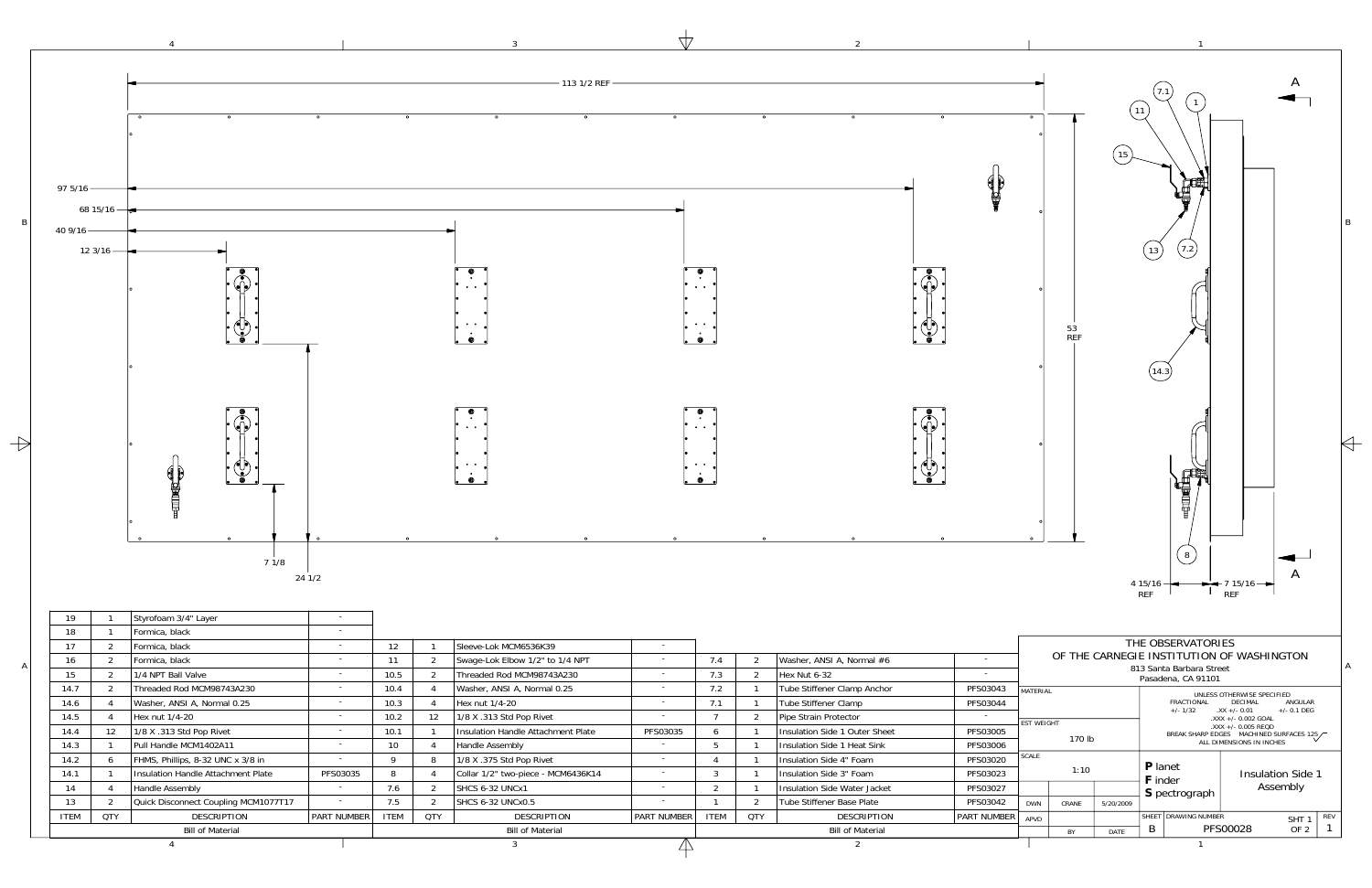

|      | <b>Bill of Material</b> |                                      |                    |      | <b>Bill of Material</b> |                                    |                          | <b>Bill of Material</b> |     |                               |                    |
|------|-------------------------|--------------------------------------|--------------------|------|-------------------------|------------------------------------|--------------------------|-------------------------|-----|-------------------------------|--------------------|
| ITEM | <b>QTY</b>              | DESCRIPTION                          | <b>PART NUMBER</b> | ITEM | <b>OTY</b>              | <b>DESCRIPTION</b>                 | <b>PART NUMBER</b>       | <b>ITEM</b>             | OTY | <b>DESCRIPTION</b>            | <b>PART NUMBER</b> |
| 13   |                         | Quick Disconnect Coupling MCM1077T17 |                    | 7.5  |                         | <b>SHCS 6-32 UNCx0.5</b>           |                          |                         |     | Tube Stiffener Base Plate     | PFS03042           |
| 14   |                         | Handle Assembly                      |                    | 7.6  |                         | <b>SHCS 6-32 UNCx1</b>             |                          |                         |     | Insulation Side Water Jacket  | PFS03027           |
| 14.1 |                         | Insulation Handle Attachment Plate   | PFS03035           |      |                         | Collar 1/2" two-piece - MCM6436K14 |                          |                         |     | Insulation Side 3" Foam       | PFS03023           |
| 14.2 |                         | FHMS, Phillips, 8-32 UNC x 3/8 in    |                    |      | 8                       | 1/8 X .375 Std Pop Rivet           |                          |                         |     | Insulation Side 4" Foam       | PFS03020           |
| 14.3 |                         | Pull Handle MCM1402A11               |                    | 10   |                         | Handle Assembly                    |                          |                         |     | Insulation Side 1 Heat Sink   | PFS03006           |
| 14.4 | 12                      | 1/8 X .313 Std Pop Rivet             |                    | 10.1 |                         | Insulation Handle Attachment Plate | PFS03035                 | 6.                      |     | Insulation Side 1 Outer Sheet | PFS03005           |
| 14.5 |                         | Hex nut 1/4-20                       |                    | 10.2 | 12                      | 1/8 X .313 Std Pop Rivet           | $\overline{\phantom{0}}$ |                         |     | Pipe Strain Protector         |                    |
| 14.6 |                         | Washer, ANSI A, Normal 0.25          |                    | 10.3 |                         | Hex nut 1/4-20                     |                          | 7.1                     |     | Tube Stiffener Clamp          | PFS03044           |
| 14.7 |                         | Threaded Rod MCM98743A230            |                    | 10.4 |                         | Washer, ANSI A, Normal 0.25        | $\sim$                   | 7.2                     |     | Tube Stiffener Clamp Anchor   | PFS03043           |
| 15   |                         | 1/4 NPT Ball Valve                   |                    | 10.5 |                         | Threaded Rod MCM98743A230          |                          | 7.3                     |     | Hex Nut 6-32                  |                    |
| 16   |                         | Formica, black                       |                    |      |                         | Swage-Lok Elbow 1/2" to 1/4 NPT    |                          | 7.4                     |     | Washer, ANSI A, Normal #6     |                    |
| 17   |                         | Formica, black                       |                    | 12   |                         | Sleeve-Lok MCM6536K39              | $\sim$                   |                         |     |                               |                    |
| . U  |                         | VIIIIVU, VIUVI                       |                    |      |                         |                                    |                          |                         |     |                               |                    |